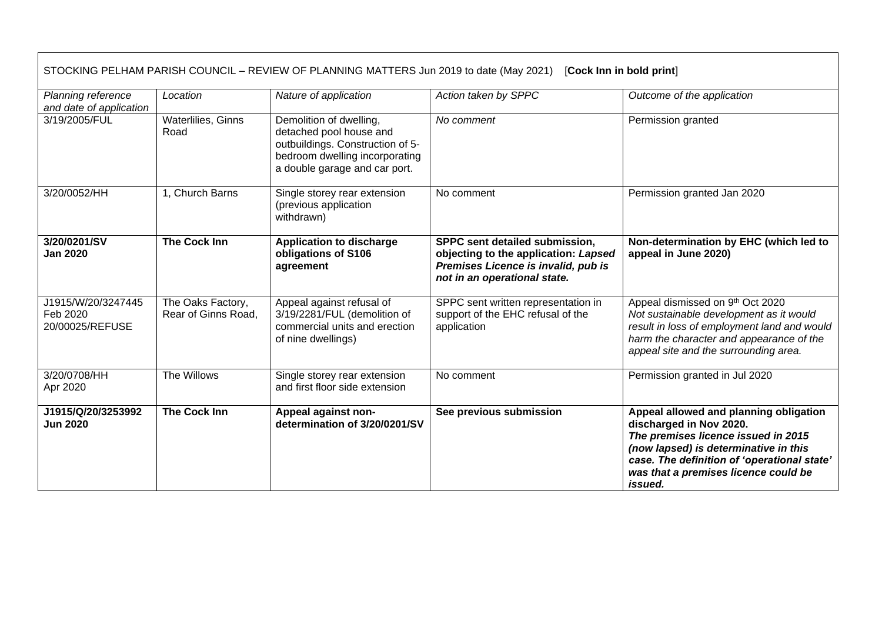| STOCKING PELHAM PARISH COUNCIL - REVIEW OF PLANNING MATTERS Jun 2019 to date (May 2021)<br>[Cock Inn in bold print] |                                          |                                                                                                                                                           |                                                                                                                                               |                                                                                                                                                                                                                                                     |  |  |  |
|---------------------------------------------------------------------------------------------------------------------|------------------------------------------|-----------------------------------------------------------------------------------------------------------------------------------------------------------|-----------------------------------------------------------------------------------------------------------------------------------------------|-----------------------------------------------------------------------------------------------------------------------------------------------------------------------------------------------------------------------------------------------------|--|--|--|
| Planning reference<br>and date of application                                                                       | Location                                 | Nature of application                                                                                                                                     | Action taken by SPPC                                                                                                                          | Outcome of the application                                                                                                                                                                                                                          |  |  |  |
| 3/19/2005/FUL                                                                                                       | Waterlilies, Ginns<br>Road               | Demolition of dwelling,<br>detached pool house and<br>outbuildings. Construction of 5-<br>bedroom dwelling incorporating<br>a double garage and car port. | No comment                                                                                                                                    | Permission granted                                                                                                                                                                                                                                  |  |  |  |
| 3/20/0052/HH                                                                                                        | 1, Church Barns                          | Single storey rear extension<br>(previous application<br>withdrawn)                                                                                       | No comment                                                                                                                                    | Permission granted Jan 2020                                                                                                                                                                                                                         |  |  |  |
| 3/20/0201/SV<br><b>Jan 2020</b>                                                                                     | <b>The Cock Inn</b>                      | <b>Application to discharge</b><br>obligations of S106<br>agreement                                                                                       | SPPC sent detailed submission,<br>objecting to the application: Lapsed<br>Premises Licence is invalid, pub is<br>not in an operational state. | Non-determination by EHC (which led to<br>appeal in June 2020)                                                                                                                                                                                      |  |  |  |
| J1915/W/20/3247445<br>Feb 2020<br>20/00025/REFUSE                                                                   | The Oaks Factory,<br>Rear of Ginns Road. | Appeal against refusal of<br>3/19/2281/FUL (demolition of<br>commercial units and erection<br>of nine dwellings)                                          | SPPC sent written representation in<br>support of the EHC refusal of the<br>application                                                       | Appeal dismissed on 9th Oct 2020<br>Not sustainable development as it would<br>result in loss of employment land and would<br>harm the character and appearance of the<br>appeal site and the surrounding area.                                     |  |  |  |
| 3/20/0708/HH<br>Apr 2020                                                                                            | The Willows                              | Single storey rear extension<br>and first floor side extension                                                                                            | No comment                                                                                                                                    | Permission granted in Jul 2020                                                                                                                                                                                                                      |  |  |  |
| J1915/Q/20/3253992<br><b>Jun 2020</b>                                                                               | <b>The Cock Inn</b>                      | Appeal against non-<br>determination of 3/20/0201/SV                                                                                                      | See previous submission                                                                                                                       | Appeal allowed and planning obligation<br>discharged in Nov 2020.<br>The premises licence issued in 2015<br>(now lapsed) is determinative in this<br>case. The definition of 'operational state'<br>was that a premises licence could be<br>issued. |  |  |  |

۰

Г